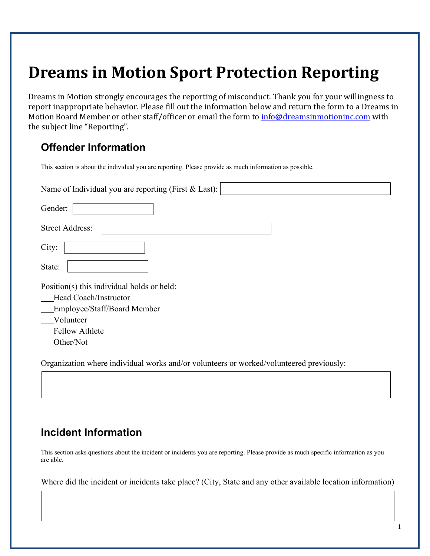# **Dreams in Motion Sport Protection Reporting**

Dreams in Motion strongly encourages the reporting of misconduct. Thank you for your willingness to report inappropriate behavior. Please fill out the information below and return the form to a Dreams in Motion Board Member or other staff/officer or email the form to [info@dreamsinmotioninc.com](mailto:info@dreamsinmotioninc.com) with the subject line "Reporting".

### **Offender Information**

| This section is about the individual you are reporting. Please provide as much information as possible. |
|---------------------------------------------------------------------------------------------------------|
| Name of Individual you are reporting (First $& Last$ ):                                                 |
| Gender:                                                                                                 |
| <b>Street Address:</b>                                                                                  |
| City:                                                                                                   |
| State:                                                                                                  |
| Position(s) this individual holds or held:                                                              |
| Head Coach/Instructor                                                                                   |
| Employee/Staff/Board Member                                                                             |
| Volunteer                                                                                               |
| <b>Fellow Athlete</b>                                                                                   |
| Other/Not                                                                                               |
| Organization where individual works and/or volunteers or worked/volunteered previously:                 |

## **Incident Information**

This section asks questions about the incident or incidents you are reporting. Please provide as much specific information as you are able.

Where did the incident or incidents take place? (City, State and any other available location information)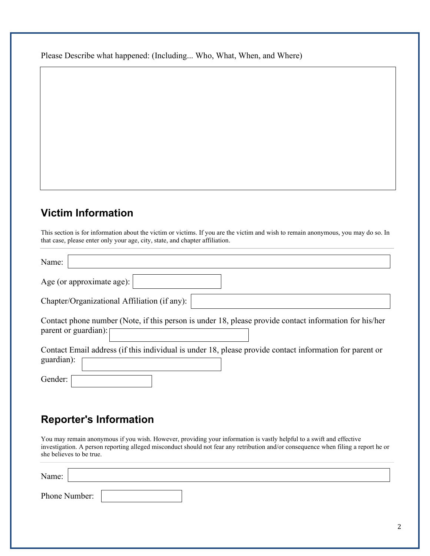Please Describe what happened: (Including... Who, What, When, and Where)

#### **Victim Information**

This section is for information about the victim or victims. If you are the victim and wish to remain anonymous, you may do so. In that case, please enter only your age, city, state, and chapter affiliation.

| Name:                                                                                                                          |
|--------------------------------------------------------------------------------------------------------------------------------|
| Age (or approximate age): $ $                                                                                                  |
| Chapter/Organizational Affiliation (if any):                                                                                   |
| Contact phone number (Note, if this person is under 18, please provide contact information for his/her<br>parent or guardian): |
| Contact Email address (if this individual is under 18, please provide contact information for parent or<br>guardian):          |
| Gender:                                                                                                                        |

#### **Reporter's Information**

You may remain anonymous if you wish. However, providing your information is vastly helpful to a swift and effective investigation. A person reporting alleged misconduct should not fear any retribution and/or consequence when filing a report he or she believes to be true.

| Name:         |  |  |
|---------------|--|--|
| Phone Number: |  |  |